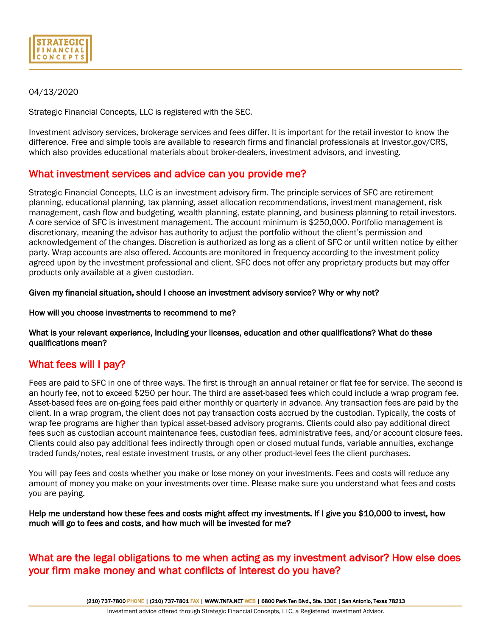| <b>STRATEGICII</b>     |  |
|------------------------|--|
| FINANCIAL<br>ICONCEPTS |  |

# 04/13/2020

Strategic Financial Concepts, LLC is registered with the SEC.

Investment advisory services, brokerage services and fees differ. It is important for the retail investor to know the difference. Free and simple tools are available to research firms and financial professionals at Investor.gov/CRS, which also provides educational materials about broker-dealers, investment advisors, and investing.

# What investment services and advice can you provide me?

Strategic Financial Concepts, LLC is an investment advisory firm. The principle services of SFC are retirement planning, educational planning, tax planning, asset allocation recommendations, investment management, risk management, cash flow and budgeting, wealth planning, estate planning, and business planning to retail investors. A core service of SFC is investment management. The account minimum is \$250,000. Portfolio management is discretionary, meaning the advisor has authority to adjust the portfolio without the client's permission and acknowledgement of the changes. Discretion is authorized as long as a client of SFC or until written notice by either party. Wrap accounts are also offered. Accounts are monitored in frequency according to the investment policy agreed upon by the investment professional and client. SFC does not offer any proprietary products but may offer products only available at a given custodian.

## Given my financial situation, should I choose an investment advisory service? Why or why not?

## How will you choose investments to recommend to me?

## What is your relevant experience, including your licenses, education and other qualifications? What do these qualifications mean?

# What fees will I pay?

Fees are paid to SFC in one of three ways. The first is through an annual retainer or flat fee for service. The second is an hourly fee, not to exceed \$250 per hour. The third are asset-based fees which could include a wrap program fee. Asset-based fees are on-going fees paid either monthly or quarterly in advance. Any transaction fees are paid by the client. In a wrap program, the client does not pay transaction costs accrued by the custodian. Typically, the costs of wrap fee programs are higher than typical asset-based advisory programs. Clients could also pay additional direct fees such as custodian account maintenance fees, custodian fees, administrative fees, and/or account closure fees. Clients could also pay additional fees indirectly through open or closed mutual funds, variable annuities, exchange traded funds/notes, real estate investment trusts, or any other product-level fees the client purchases.

You will pay fees and costs whether you make or lose money on your investments. Fees and costs will reduce any amount of money you make on your investments over time. Please make sure you understand what fees and costs you are paying.

Help me understand how these fees and costs might affect my investments. If I give you \$10,000 to invest, how much will go to fees and costs, and how much will be invested for me?

# What are the legal obligations to me when acting as my investment advisor? How else does your firm make money and what conflicts of interest do you have?